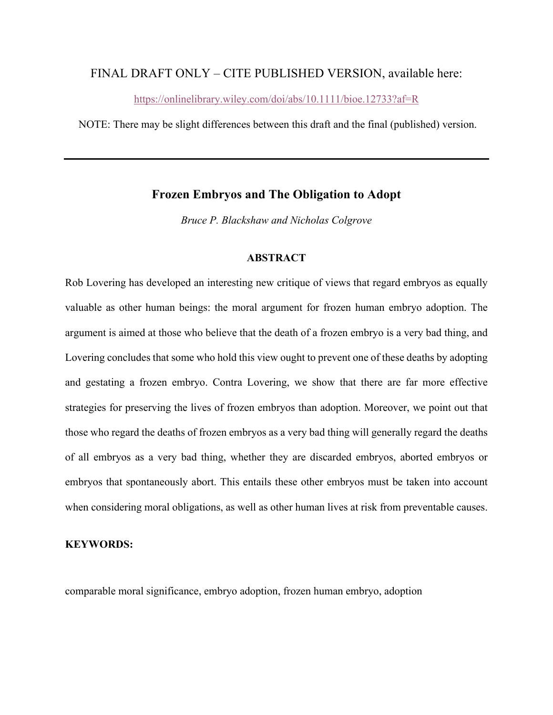# FINAL DRAFT ONLY – CITE PUBLISHED VERSION, available here:

https://onlinelibrary.wiley.com/doi/abs/10.1111/bioe.12733?af=R

NOTE: There may be slight differences between this draft and the final (published) version.

## **Frozen Embryos and The Obligation to Adopt**

*Bruce P. Blackshaw and Nicholas Colgrove*

### **ABSTRACT**

Rob Lovering has developed an interesting new critique of views that regard embryos as equally valuable as other human beings: the moral argument for frozen human embryo adoption. The argument is aimed at those who believe that the death of a frozen embryo is a very bad thing, and Lovering concludes that some who hold this view ought to prevent one of these deaths by adopting and gestating a frozen embryo. Contra Lovering, we show that there are far more effective strategies for preserving the lives of frozen embryos than adoption. Moreover, we point out that those who regard the deaths of frozen embryos as a very bad thing will generally regard the deaths of all embryos as a very bad thing, whether they are discarded embryos, aborted embryos or embryos that spontaneously abort. This entails these other embryos must be taken into account when considering moral obligations, as well as other human lives at risk from preventable causes.

#### **KEYWORDS:**

comparable moral significance, embryo adoption, frozen human embryo, adoption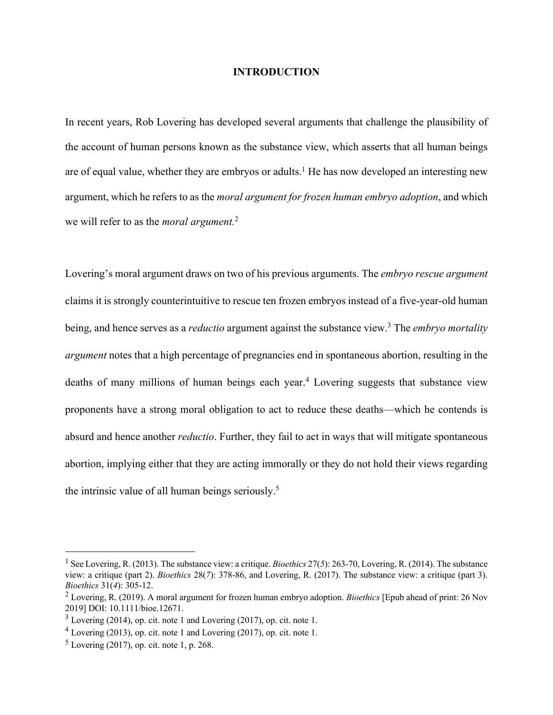#### **INTRODUCTION**

In recent years, Rob Lovering has developed several arguments that challenge the plausibility of the account of human persons known as the substance view, which asserts that all human beings are of equal value, whether they are embryos or adults.<sup>1</sup> He has now developed an interesting new argument, which he refers to as the *moral argument for frozen human embryo adoption*, and which we will refer to as the *moral argument.*<sup>2</sup>

Lovering's moral argument draws on two of his previous arguments. The *embryo rescue argument* claims it is strongly counterintuitive to rescue ten frozen embryos instead of a five-year-old human being, and hence serves as a *reductio* argument against the substance view.3 The *embryo mortality argument* notes that a high percentage of pregnancies end in spontaneous abortion, resulting in the deaths of many millions of human beings each year.4 Lovering suggests that substance view proponents have a strong moral obligation to act to reduce these deaths—which he contends is absurd and hence another *reductio*. Further, they fail to act in ways that will mitigate spontaneous abortion, implying either that they are acting immorally or they do not hold their views regarding the intrinsic value of all human beings seriously.5

<sup>1</sup> See Lovering, R. (2013). The substance view: a critique. *Bioethics* 27(*5*): 263-70, Lovering, R. (2014). The substance view: a critique (part 2). *Bioethics* 28(*7*): 378-86, and Lovering, R. (2017). The substance view: a critique (part 3). *Bioethics* 31(*4*): 305-12.

<sup>2</sup> Lovering, R. (2019). A moral argument for frozen human embryo adoption. *Bioethics* [Epub ahead of print: 26 Nov 2019] DOI: 10.1111/bioe.12671.

 $3$  Lovering (2014), op. cit. note 1 and Lovering (2017), op. cit. note 1.

<sup>4</sup> Lovering (2013), op. cit. note 1 and Lovering (2017), op. cit. note 1.

 $<sup>5</sup>$  Lovering (2017), op. cit. note 1, p. 268.</sup>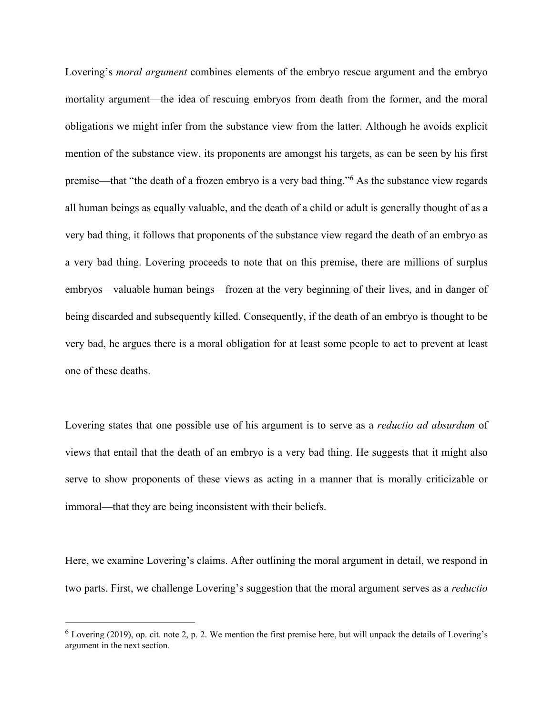Lovering's *moral argument* combines elements of the embryo rescue argument and the embryo mortality argument—the idea of rescuing embryos from death from the former, and the moral obligations we might infer from the substance view from the latter. Although he avoids explicit mention of the substance view, its proponents are amongst his targets, as can be seen by his first premise—that "the death of a frozen embryo is a very bad thing."6 As the substance view regards all human beings as equally valuable, and the death of a child or adult is generally thought of as a very bad thing, it follows that proponents of the substance view regard the death of an embryo as a very bad thing. Lovering proceeds to note that on this premise, there are millions of surplus embryos—valuable human beings—frozen at the very beginning of their lives, and in danger of being discarded and subsequently killed. Consequently, if the death of an embryo is thought to be very bad, he argues there is a moral obligation for at least some people to act to prevent at least one of these deaths.

Lovering states that one possible use of his argument is to serve as a *reductio ad absurdum* of views that entail that the death of an embryo is a very bad thing. He suggests that it might also serve to show proponents of these views as acting in a manner that is morally criticizable or immoral—that they are being inconsistent with their beliefs.

Here, we examine Lovering's claims. After outlining the moral argument in detail, we respond in two parts. First, we challenge Lovering's suggestion that the moral argument serves as a *reductio*

 $6$  Lovering (2019), op. cit. note 2, p. 2. We mention the first premise here, but will unpack the details of Lovering's argument in the next section.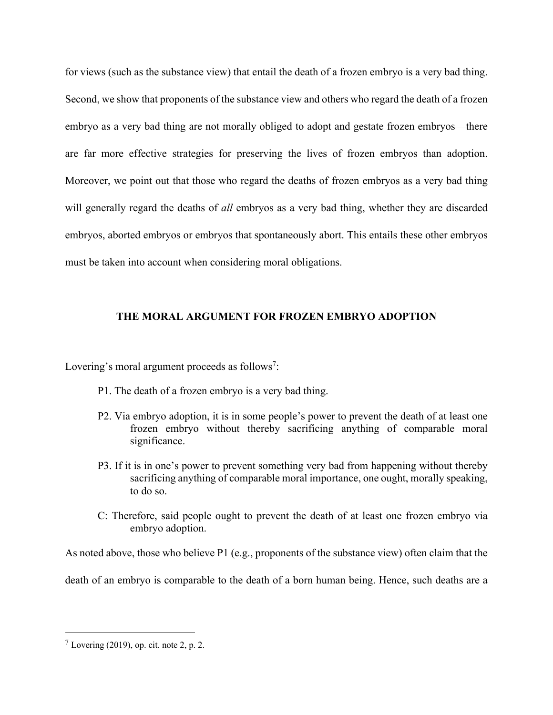for views (such as the substance view) that entail the death of a frozen embryo is a very bad thing. Second, we show that proponents of the substance view and others who regard the death of a frozen embryo as a very bad thing are not morally obliged to adopt and gestate frozen embryos—there are far more effective strategies for preserving the lives of frozen embryos than adoption. Moreover, we point out that those who regard the deaths of frozen embryos as a very bad thing will generally regard the deaths of *all* embryos as a very bad thing, whether they are discarded embryos, aborted embryos or embryos that spontaneously abort. This entails these other embryos must be taken into account when considering moral obligations.

### **THE MORAL ARGUMENT FOR FROZEN EMBRYO ADOPTION**

Lovering's moral argument proceeds as follows<sup>7</sup>:

- P1. The death of a frozen embryo is a very bad thing.
- P2. Via embryo adoption, it is in some people's power to prevent the death of at least one frozen embryo without thereby sacrificing anything of comparable moral significance.
- P3. If it is in one's power to prevent something very bad from happening without thereby sacrificing anything of comparable moral importance, one ought, morally speaking, to do so.
- C: Therefore, said people ought to prevent the death of at least one frozen embryo via embryo adoption.

As noted above, those who believe P1 (e.g., proponents of the substance view) often claim that the

death of an embryo is comparable to the death of a born human being. Hence, such deaths are a

 $<sup>7</sup>$  Lovering (2019), op. cit. note 2, p. 2.</sup>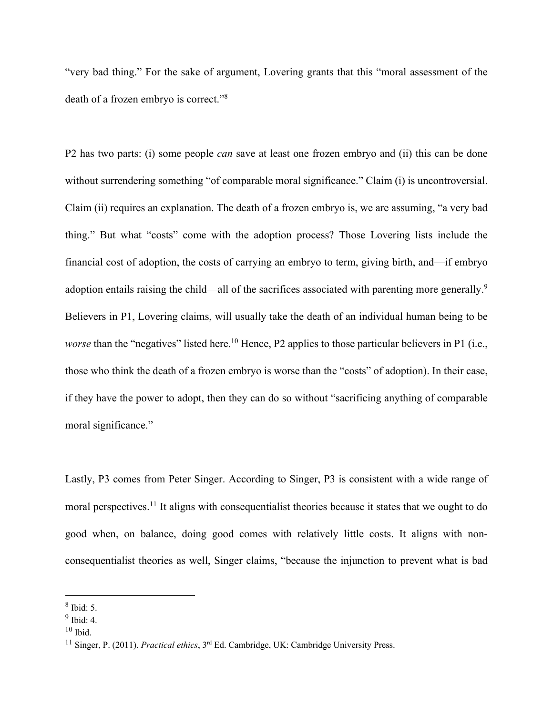"very bad thing." For the sake of argument, Lovering grants that this "moral assessment of the death of a frozen embryo is correct."8

P2 has two parts: (i) some people *can* save at least one frozen embryo and (ii) this can be done without surrendering something "of comparable moral significance." Claim (i) is uncontroversial. Claim (ii) requires an explanation. The death of a frozen embryo is, we are assuming, "a very bad thing." But what "costs" come with the adoption process? Those Lovering lists include the financial cost of adoption, the costs of carrying an embryo to term, giving birth, and—if embryo adoption entails raising the child—all of the sacrifices associated with parenting more generally.<sup>9</sup> Believers in P1, Lovering claims, will usually take the death of an individual human being to be *worse* than the "negatives" listed here.<sup>10</sup> Hence, P2 applies to those particular believers in P1 (i.e., those who think the death of a frozen embryo is worse than the "costs" of adoption). In their case, if they have the power to adopt, then they can do so without "sacrificing anything of comparable moral significance."

Lastly, P3 comes from Peter Singer. According to Singer, P3 is consistent with a wide range of moral perspectives.<sup>11</sup> It aligns with consequentialist theories because it states that we ought to do good when, on balance, doing good comes with relatively little costs. It aligns with nonconsequentialist theories as well, Singer claims, "because the injunction to prevent what is bad

<sup>8</sup> Ibid: 5.

 $9$  Ibid: 4.

 $10$  Ibid.

<sup>&</sup>lt;sup>11</sup> Singer, P. (2011). *Practical ethics*, 3<sup>rd</sup> Ed. Cambridge, UK: Cambridge University Press.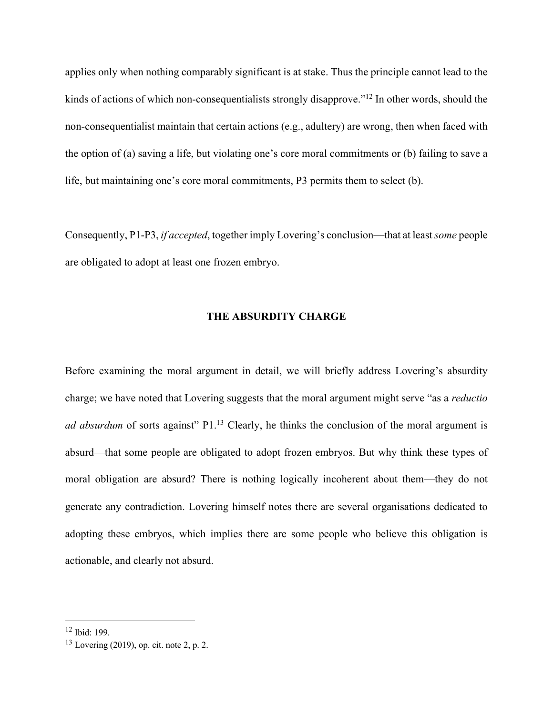applies only when nothing comparably significant is at stake. Thus the principle cannot lead to the kinds of actions of which non-consequentialists strongly disapprove."<sup>12</sup> In other words, should the non-consequentialist maintain that certain actions (e.g., adultery) are wrong, then when faced with the option of (a) saving a life, but violating one's core moral commitments or (b) failing to save a life, but maintaining one's core moral commitments, P3 permits them to select (b).

Consequently, P1-P3, *if accepted*, together imply Lovering's conclusion—that at least *some* people are obligated to adopt at least one frozen embryo.

#### **THE ABSURDITY CHARGE**

Before examining the moral argument in detail, we will briefly address Lovering's absurdity charge; we have noted that Lovering suggests that the moral argument might serve "as a *reductio ad absurdum* of sorts against" P1.<sup>13</sup> Clearly, he thinks the conclusion of the moral argument is absurd—that some people are obligated to adopt frozen embryos. But why think these types of moral obligation are absurd? There is nothing logically incoherent about them—they do not generate any contradiction. Lovering himself notes there are several organisations dedicated to adopting these embryos, which implies there are some people who believe this obligation is actionable, and clearly not absurd.

<sup>12</sup> Ibid: 199.

 $13$  Lovering (2019), op. cit. note 2, p. 2.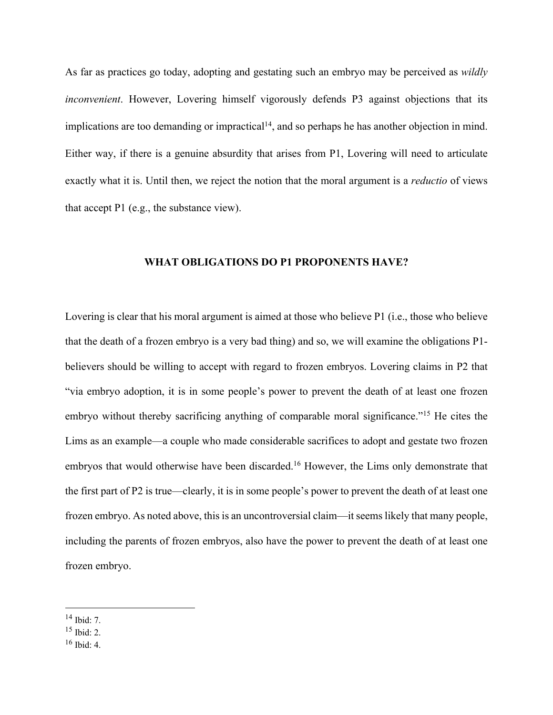As far as practices go today, adopting and gestating such an embryo may be perceived as *wildly inconvenient*. However, Lovering himself vigorously defends P3 against objections that its implications are too demanding or impractical<sup>14</sup>, and so perhaps he has another objection in mind. Either way, if there is a genuine absurdity that arises from P1, Lovering will need to articulate exactly what it is. Until then, we reject the notion that the moral argument is a *reductio* of views that accept P1 (e.g., the substance view).

#### **WHAT OBLIGATIONS DO P1 PROPONENTS HAVE?**

Lovering is clear that his moral argument is aimed at those who believe P1 (i.e., those who believe that the death of a frozen embryo is a very bad thing) and so, we will examine the obligations P1 believers should be willing to accept with regard to frozen embryos. Lovering claims in P2 that "via embryo adoption, it is in some people's power to prevent the death of at least one frozen embryo without thereby sacrificing anything of comparable moral significance."<sup>15</sup> He cites the Lims as an example—a couple who made considerable sacrifices to adopt and gestate two frozen embryos that would otherwise have been discarded.<sup>16</sup> However, the Lims only demonstrate that the first part of P2 is true—clearly, it is in some people's power to prevent the death of at least one frozen embryo. As noted above, this is an uncontroversial claim—it seems likely that many people, including the parents of frozen embryos, also have the power to prevent the death of at least one frozen embryo.

<sup>14</sup> Ibid: 7.

<sup>15</sup> Ibid: 2.

 $16$  Ibid: 4.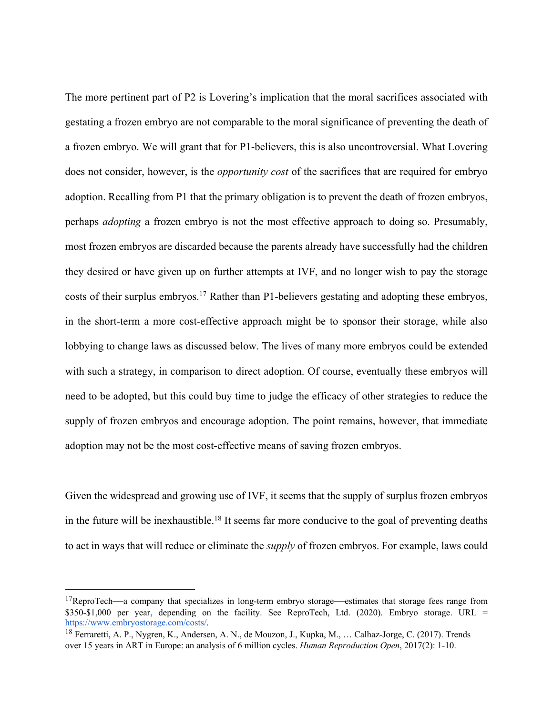The more pertinent part of P2 is Lovering's implication that the moral sacrifices associated with gestating a frozen embryo are not comparable to the moral significance of preventing the death of a frozen embryo. We will grant that for P1-believers, this is also uncontroversial. What Lovering does not consider, however, is the *opportunity cost* of the sacrifices that are required for embryo adoption. Recalling from P1 that the primary obligation is to prevent the death of frozen embryos, perhaps *adopting* a frozen embryo is not the most effective approach to doing so. Presumably, most frozen embryos are discarded because the parents already have successfully had the children they desired or have given up on further attempts at IVF, and no longer wish to pay the storage costs of their surplus embryos.<sup>17</sup> Rather than P1-believers gestating and adopting these embryos, in the short-term a more cost-effective approach might be to sponsor their storage, while also lobbying to change laws as discussed below. The lives of many more embryos could be extended with such a strategy, in comparison to direct adoption. Of course, eventually these embryos will need to be adopted, but this could buy time to judge the efficacy of other strategies to reduce the supply of frozen embryos and encourage adoption. The point remains, however, that immediate adoption may not be the most cost-effective means of saving frozen embryos.

Given the widespread and growing use of IVF, it seems that the supply of surplus frozen embryos in the future will be inexhaustible.18 It seems far more conducive to the goal of preventing deaths to act in ways that will reduce or eliminate the *supply* of frozen embryos. For example, laws could

<sup>&</sup>lt;sup>17</sup>ReproTech—a company that specializes in long-term embryo storage—estimates that storage fees range from \$350-\$1,000 per year, depending on the facility. See ReproTech, Ltd. (2020). Embryo storage. URL = https://www.embryostorage.com/costs/<br><sup>18</sup> Ferraretti, A. P., Nygren, K., Andersen, A. N., de Mouzon, J., Kupka, M., ... Calhaz-Jorge, C. (2017). Trends

over 15 years in ART in Europe: an analysis of 6 million cycles. *Human Reproduction Open*, 2017(2): 1-10.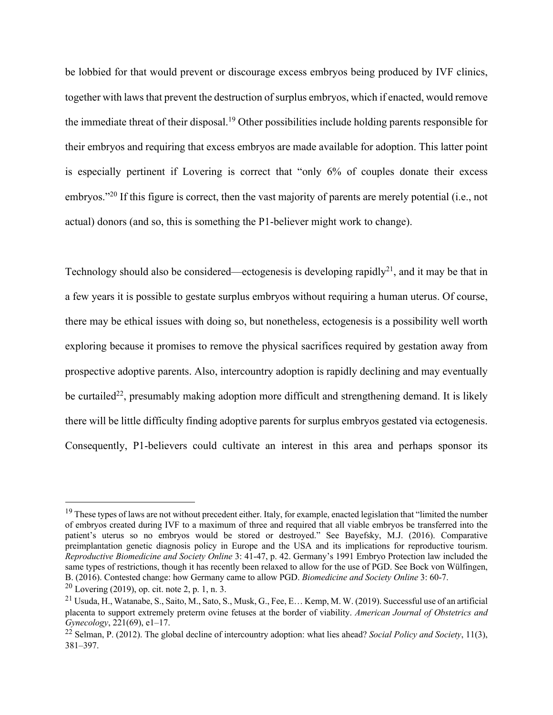be lobbied for that would prevent or discourage excess embryos being produced by IVF clinics, together with laws that prevent the destruction of surplus embryos, which if enacted, would remove the immediate threat of their disposal.19 Other possibilities include holding parents responsible for their embryos and requiring that excess embryos are made available for adoption. This latter point is especially pertinent if Lovering is correct that "only 6% of couples donate their excess embryos."20 If this figure is correct, then the vast majority of parents are merely potential (i.e., not actual) donors (and so, this is something the P1-believer might work to change).

Technology should also be considered—ectogenesis is developing rapidly<sup>21</sup>, and it may be that in a few years it is possible to gestate surplus embryos without requiring a human uterus. Of course, there may be ethical issues with doing so, but nonetheless, ectogenesis is a possibility well worth exploring because it promises to remove the physical sacrifices required by gestation away from prospective adoptive parents. Also, intercountry adoption is rapidly declining and may eventually be curtailed<sup>22</sup>, presumably making adoption more difficult and strengthening demand. It is likely there will be little difficulty finding adoptive parents for surplus embryos gestated via ectogenesis. Consequently, P1-believers could cultivate an interest in this area and perhaps sponsor its

 $19$  These types of laws are not without precedent either. Italy, for example, enacted legislation that "limited the number of embryos created during IVF to a maximum of three and required that all viable embryos be transferred into the patient's uterus so no embryos would be stored or destroyed." See Bayefsky, M.J. (2016). Comparative preimplantation genetic diagnosis policy in Europe and the USA and its implications for reproductive tourism. *Reproductive Biomedicine and Society Online* 3: 41-47, p. 42. Germany's 1991 Embryo Protection law included the same types of restrictions, though it has recently been relaxed to allow for the use of PGD. See Bock von Wülfingen, B. (2016). Contested change: how Germany came to allow PGD. *Biomedicine and Society Online* 3: 60-7.

 $20$  Lovering (2019), op. cit. note 2, p. 1, n. 3.

 $^{21}$  Usuda, H., Watanabe, S., Saito, M., Sato, S., Musk, G., Fee, E... Kemp, M. W. (2019). Successful use of an artificial placenta to support extremely preterm ovine fetuses at the border of viability. *American Journal of Obstetrics and Gynecology*, 221(69), e1–17.

<sup>22</sup> Selman, P. (2012). The global decline of intercountry adoption: what lies ahead? *Social Policy and Society*, 11(3), 381–397.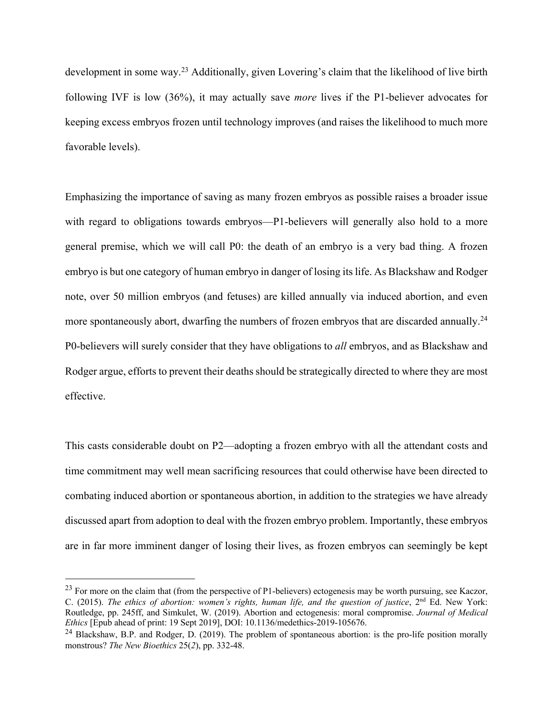development in some way.23 Additionally, given Lovering's claim that the likelihood of live birth following IVF is low (36%), it may actually save *more* lives if the P1-believer advocates for keeping excess embryos frozen until technology improves (and raises the likelihood to much more favorable levels).

Emphasizing the importance of saving as many frozen embryos as possible raises a broader issue with regard to obligations towards embryos—P1-believers will generally also hold to a more general premise, which we will call P0: the death of an embryo is a very bad thing. A frozen embryo is but one category of human embryo in danger of losing its life. As Blackshaw and Rodger note, over 50 million embryos (and fetuses) are killed annually via induced abortion, and even more spontaneously abort, dwarfing the numbers of frozen embryos that are discarded annually.<sup>24</sup> P0-believers will surely consider that they have obligations to *all* embryos, and as Blackshaw and Rodger argue, efforts to prevent their deaths should be strategically directed to where they are most effective.

This casts considerable doubt on P2—adopting a frozen embryo with all the attendant costs and time commitment may well mean sacrificing resources that could otherwise have been directed to combating induced abortion or spontaneous abortion, in addition to the strategies we have already discussed apart from adoption to deal with the frozen embryo problem. Importantly, these embryos are in far more imminent danger of losing their lives, as frozen embryos can seemingly be kept

 $^{23}$  For more on the claim that (from the perspective of P1-believers) ectogenesis may be worth pursuing, see Kaczor, C. (2015). *The ethics of abortion: women's rights, human life, and the question of justice*, 2<sup>nd</sup> Ed. New York: Routledge, pp. 245ff, and Simkulet, W. (2019). Abortion and ectogenesis: moral compromise. *Journal of Medical Ethics* [Epub ahead of print: 19 Sept 2019], DOI: 10.1136/medethics-2019-105676.

<sup>&</sup>lt;sup>24</sup> Blackshaw, B.P. and Rodger, D. (2019). The problem of spontaneous abortion: is the pro-life position morally monstrous? *The New Bioethics* 25(*2*), pp. 332-48.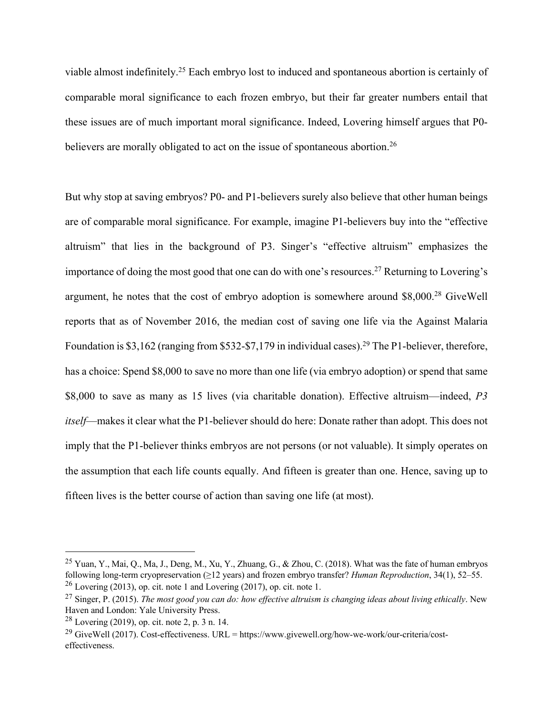viable almost indefinitely.25 Each embryo lost to induced and spontaneous abortion is certainly of comparable moral significance to each frozen embryo, but their far greater numbers entail that these issues are of much important moral significance. Indeed, Lovering himself argues that P0 believers are morally obligated to act on the issue of spontaneous abortion.<sup>26</sup>

But why stop at saving embryos? P0- and P1-believers surely also believe that other human beings are of comparable moral significance. For example, imagine P1-believers buy into the "effective altruism" that lies in the background of P3. Singer's "effective altruism" emphasizes the importance of doing the most good that one can do with one's resources.27 Returning to Lovering's argument, he notes that the cost of embryo adoption is somewhere around \$8,000.28 GiveWell reports that as of November 2016, the median cost of saving one life via the Against Malaria Foundation is \$3,162 (ranging from \$532-\$7,179 in individual cases).<sup>29</sup> The P1-believer, therefore, has a choice: Spend \$8,000 to save no more than one life (via embryo adoption) or spend that same \$8,000 to save as many as 15 lives (via charitable donation). Effective altruism—indeed, *P3 itself*—makes it clear what the P1-believer should do here: Donate rather than adopt. This does not imply that the P1-believer thinks embryos are not persons (or not valuable). It simply operates on the assumption that each life counts equally. And fifteen is greater than one. Hence, saving up to fifteen lives is the better course of action than saving one life (at most).

<sup>25</sup> Yuan, Y., Mai, Q., Ma, J., Deng, M., Xu, Y., Zhuang, G., & Zhou, C. (2018). What was the fate of human embryos following long-term cryopreservation (≥12 years) and frozen embryo transfer? *Human Reproduction*, 34(1), 52–55.  $26$  Lovering (2013), op. cit. note 1 and Lovering (2017), op. cit. note 1.

<sup>27</sup> Singer, P. (2015). *The most good you can do: how effective altruism is changing ideas about living ethically*. New Haven and London: Yale University Press.

 $28$  Lovering (2019), op. cit. note 2, p. 3 n. 14.

<sup>&</sup>lt;sup>29</sup> GiveWell (2017). Cost-effectiveness. URL = https://www.givewell.org/how-we-work/our-criteria/costeffectiveness.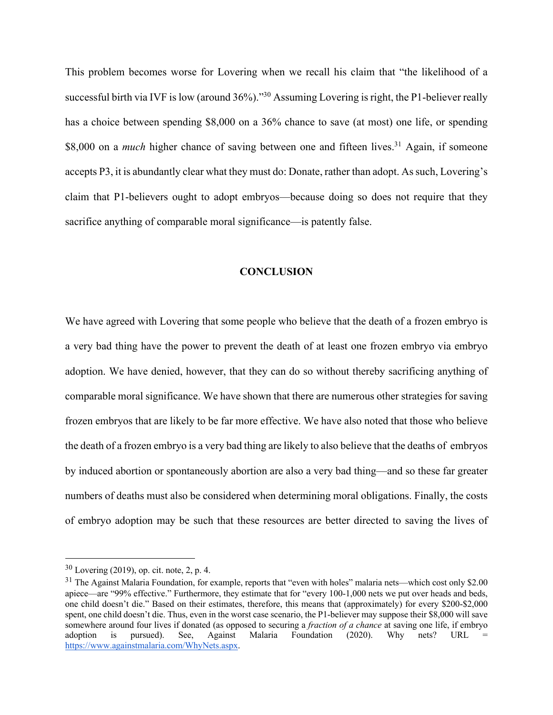This problem becomes worse for Lovering when we recall his claim that "the likelihood of a successful birth via IVF is low (around 36%)."<sup>30</sup> Assuming Lovering is right, the P1-believer really has a choice between spending \$8,000 on a 36% chance to save (at most) one life, or spending \$8,000 on a *much* higher chance of saving between one and fifteen lives.<sup>31</sup> Again, if someone accepts P3, it is abundantly clear what they must do: Donate, rather than adopt. As such, Lovering's claim that P1-believers ought to adopt embryos—because doing so does not require that they sacrifice anything of comparable moral significance—is patently false.

#### **CONCLUSION**

We have agreed with Lovering that some people who believe that the death of a frozen embryo is a very bad thing have the power to prevent the death of at least one frozen embryo via embryo adoption. We have denied, however, that they can do so without thereby sacrificing anything of comparable moral significance. We have shown that there are numerous other strategies for saving frozen embryos that are likely to be far more effective. We have also noted that those who believe the death of a frozen embryo is a very bad thing are likely to also believe that the deaths of embryos by induced abortion or spontaneously abortion are also a very bad thing—and so these far greater numbers of deaths must also be considered when determining moral obligations. Finally, the costs of embryo adoption may be such that these resources are better directed to saving the lives of

 $30$  Lovering (2019), op. cit. note, 2, p. 4.

 $31$  The Against Malaria Foundation, for example, reports that "even with holes" malaria nets—which cost only \$2.00 apiece—are "99% effective." Furthermore, they estimate that for "every 100-1,000 nets we put over heads and beds, one child doesn't die." Based on their estimates, therefore, this means that (approximately) for every \$200-\$2,000 spent, one child doesn't die. Thus, even in the worst case scenario, the P1-believer may suppose their \$8,000 will save somewhere around four lives if donated (as opposed to securing a *fraction of a chance* at saving one life, if embryo adoption is pursued). See, Against Malaria Foundation (2020). Why nets? URL = https://www.againstmalaria.com/WhyNets.aspx.